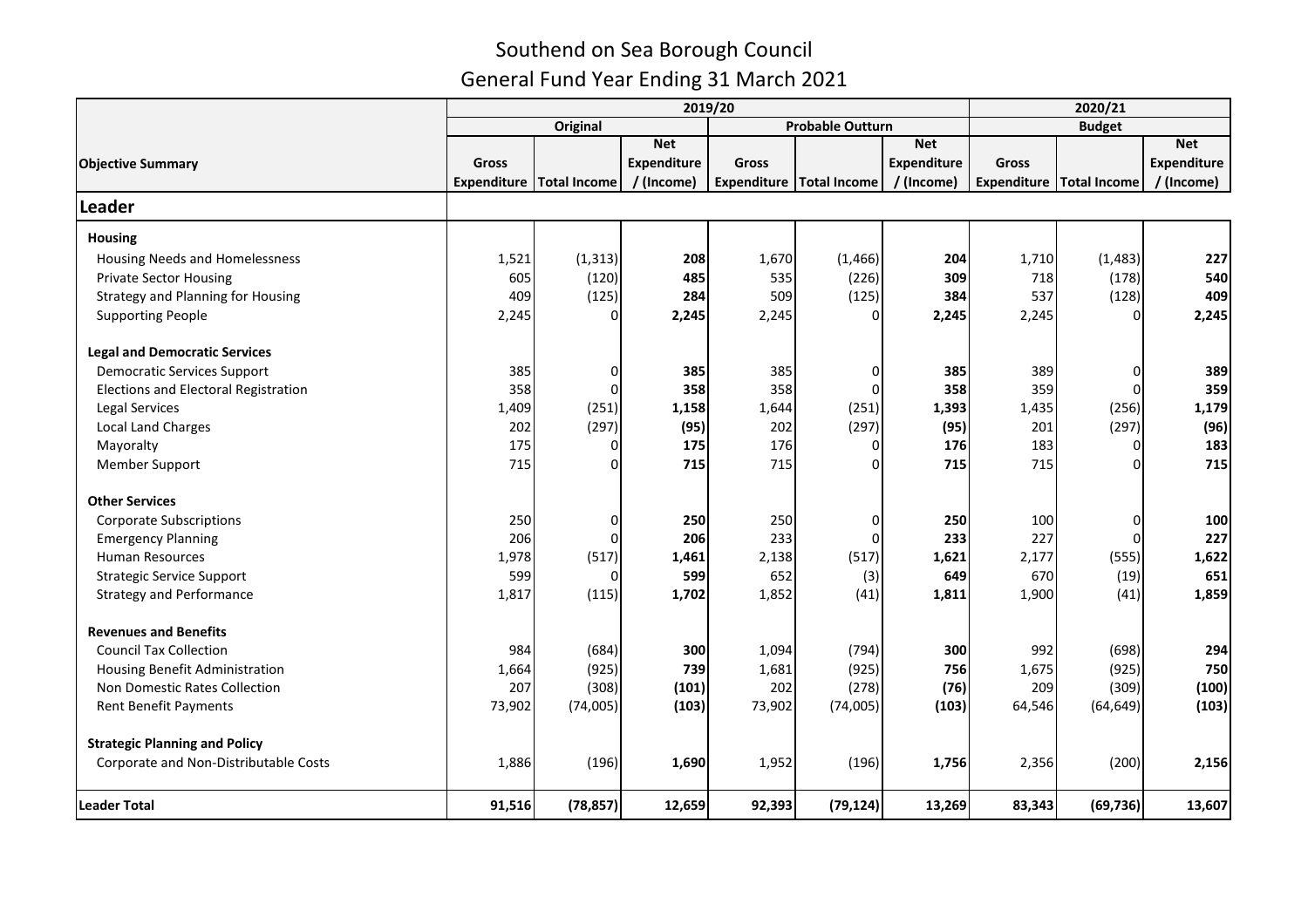|                                             |                                     |                                     | 2020/21            |        |                                         |                    |              |                            |                    |
|---------------------------------------------|-------------------------------------|-------------------------------------|--------------------|--------|-----------------------------------------|--------------------|--------------|----------------------------|--------------------|
|                                             | <b>Probable Outturn</b><br>Original |                                     |                    |        |                                         |                    |              |                            |                    |
|                                             |                                     |                                     | <b>Net</b>         |        |                                         | <b>Net</b>         |              |                            | <b>Net</b>         |
| <b>Objective Summary</b>                    | Gross                               |                                     | <b>Expenditure</b> | Gross  |                                         | <b>Expenditure</b> | <b>Gross</b> |                            | <b>Expenditure</b> |
|                                             |                                     | <b>Expenditure   Total Income  </b> | / (Income)         |        | Expenditure   Total Income   / (Income) |                    |              | Expenditure   Total Income | / (Income)         |
| Leader                                      |                                     |                                     |                    |        |                                         |                    |              |                            |                    |
| <b>Housing</b>                              |                                     |                                     |                    |        |                                         |                    |              |                            |                    |
| Housing Needs and Homelessness              | 1,521                               | (1, 313)                            | 208                | 1,670  | (1, 466)                                | 204                | 1,710        | (1, 483)                   | 227                |
| <b>Private Sector Housing</b>               | 605                                 | (120)                               | 485                | 535    | (226)                                   | 309                | 718          | (178)                      | 540                |
| <b>Strategy and Planning for Housing</b>    | 409                                 | (125)                               | 284                | 509    | (125)                                   | 384                | 537          | (128)                      | 409                |
| <b>Supporting People</b>                    | 2,245                               |                                     | 2,245              | 2,245  |                                         | 2,245              | 2,245        | $\Omega$                   | 2,245              |
| <b>Legal and Democratic Services</b>        |                                     |                                     |                    |        |                                         |                    |              |                            |                    |
| <b>Democratic Services Support</b>          | 385                                 | 0                                   | 385                | 385    | 0                                       | 385                | 389          | 0                          | 389                |
| <b>Elections and Electoral Registration</b> | 358                                 | $\Omega$                            | 358                | 358    | $\Omega$                                | 358                | 359          | $\Omega$                   | 359                |
| <b>Legal Services</b>                       | 1,409                               | (251)                               | 1,158              | 1,644  | (251)                                   | 1,393              | 1,435        | (256)                      | 1,179              |
| <b>Local Land Charges</b>                   | 202                                 | (297)                               | (95)               | 202    | (297)                                   | (95)               | 201          | (297)                      | (96)               |
| Mayoralty                                   | 175                                 | $\Omega$                            | 175                | 176    | O                                       | 176                | 183          | 0                          | 183                |
| <b>Member Support</b>                       | 715                                 | $\Omega$                            | 715                | 715    |                                         | 715                | 715          | 0                          | 715                |
| <b>Other Services</b>                       |                                     |                                     |                    |        |                                         |                    |              |                            |                    |
| <b>Corporate Subscriptions</b>              | 250                                 | 0                                   | 250                | 250    | $\Omega$                                | 250                | 100          | $\overline{0}$             | 100                |
| <b>Emergency Planning</b>                   | 206                                 | n                                   | 206                | 233    |                                         | 233                | 227          | $\Omega$                   | 227                |
| <b>Human Resources</b>                      | 1,978                               | (517)                               | 1,461              | 2,138  | (517)                                   | 1,621              | 2,177        | (555)                      | 1,622              |
| <b>Strategic Service Support</b>            | 599                                 |                                     | 599                | 652    | (3)                                     | 649                | 670          | (19)                       | 651                |
| <b>Strategy and Performance</b>             | 1,817                               | (115)                               | 1,702              | 1,852  | (41)                                    | 1,811              | 1,900        | (41)                       | 1,859              |
| <b>Revenues and Benefits</b>                |                                     |                                     |                    |        |                                         |                    |              |                            |                    |
| <b>Council Tax Collection</b>               | 984                                 | (684)                               | 300                | 1,094  | (794)                                   | 300                | 992          | (698)                      | 294                |
| Housing Benefit Administration              | 1,664                               | (925)                               | 739                | 1,681  | (925)                                   | 756                | 1,675        | (925)                      | 750                |
| Non Domestic Rates Collection               | 207                                 | (308)                               | (101)              | 202    | (278)                                   | (76)               | 209          | (309)                      | (100)              |
| <b>Rent Benefit Payments</b>                | 73,902                              | (74,005)                            | (103)              | 73,902 | (74,005)                                | (103)              | 64,546       | (64, 649)                  | (103)              |
| <b>Strategic Planning and Policy</b>        |                                     |                                     |                    |        |                                         |                    |              |                            |                    |
| Corporate and Non-Distributable Costs       | 1,886                               | (196)                               | 1,690              | 1,952  | (196)                                   | 1,756              | 2,356        | (200)                      | 2,156              |
| <b>Leader Total</b>                         | 91,516                              | (78, 857)                           | 12,659             | 92,393 | (79, 124)                               | 13,269             | 83,343       | (69, 736)                  | 13,607             |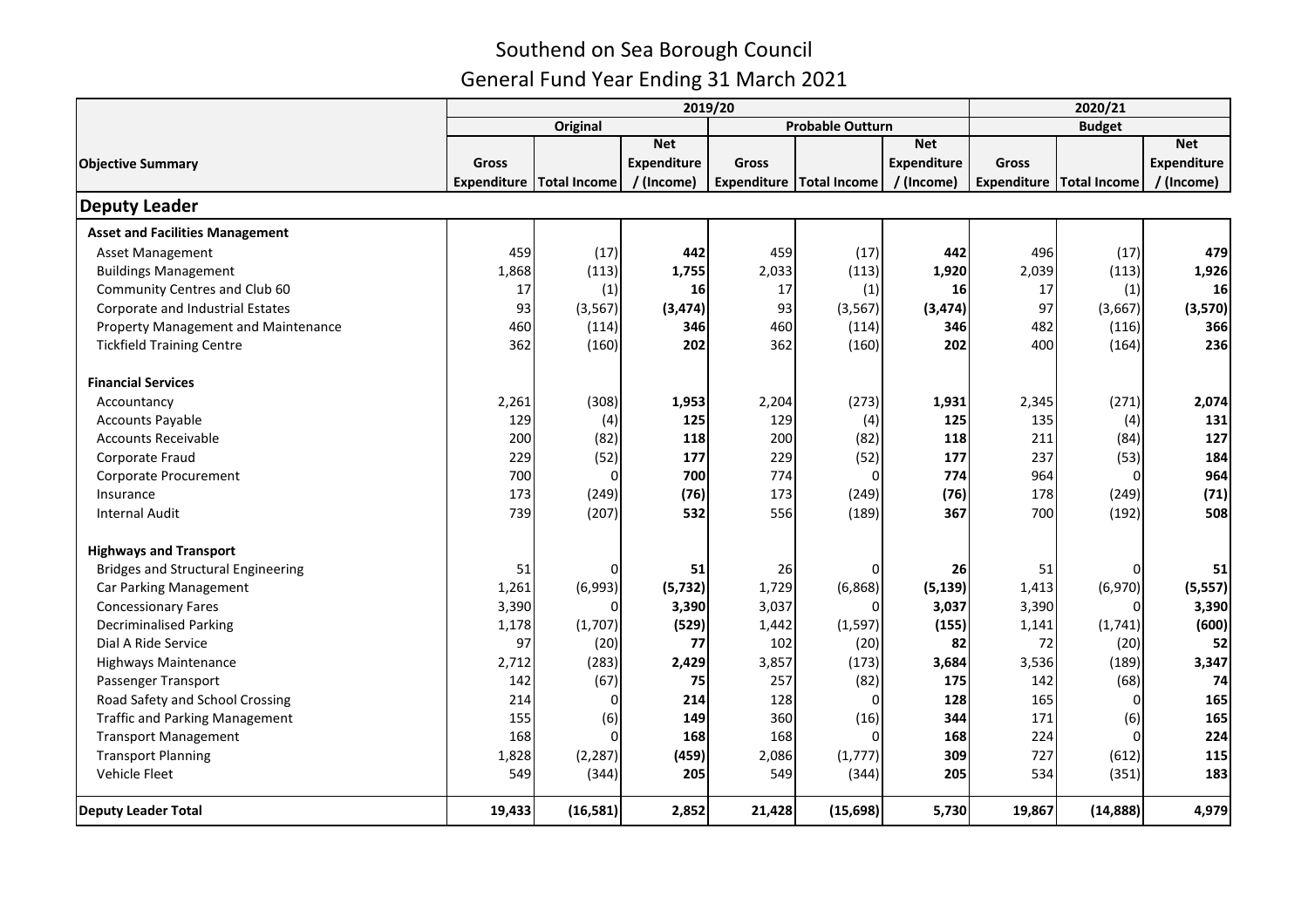|                                           |                                     |                                     | 2020/21            |        |                                         |                    |        |                                     |                    |  |
|-------------------------------------------|-------------------------------------|-------------------------------------|--------------------|--------|-----------------------------------------|--------------------|--------|-------------------------------------|--------------------|--|
|                                           | <b>Probable Outturn</b><br>Original |                                     |                    |        |                                         |                    |        | <b>Budget</b>                       |                    |  |
|                                           |                                     |                                     | <b>Net</b>         |        |                                         | <b>Net</b>         |        |                                     | <b>Net</b>         |  |
| <b>Objective Summary</b>                  | Gross                               |                                     | <b>Expenditure</b> | Gross  |                                         | <b>Expenditure</b> | Gross  |                                     | <b>Expenditure</b> |  |
|                                           |                                     | <b>Expenditure   Total Income  </b> | / (Income)         |        | Expenditure   Total Income   / (Income) |                    |        | <b>Expenditure   Total Income  </b> | / (Income)         |  |
| <b>Deputy Leader</b>                      |                                     |                                     |                    |        |                                         |                    |        |                                     |                    |  |
| <b>Asset and Facilities Management</b>    |                                     |                                     |                    |        |                                         |                    |        |                                     |                    |  |
| Asset Management                          | 459                                 | (17)                                | 442                | 459    | (17)                                    | 442                | 496    | (17)                                | 479                |  |
| <b>Buildings Management</b>               | 1,868                               | (113)                               | 1,755              | 2,033  | (113)                                   | 1,920              | 2,039  | (113)                               | 1,926              |  |
| Community Centres and Club 60             | 17                                  | (1)                                 | 16                 | 17     | (1)                                     | 16                 | 17     | (1)                                 | 16                 |  |
| Corporate and Industrial Estates          | 93                                  | (3, 567)                            | (3, 474)           | 93     | (3, 567)                                | (3, 474)           | 97     | (3,667)                             | (3,570)            |  |
| Property Management and Maintenance       | 460                                 | (114)                               | 346                | 460    | (114)                                   | 346                | 482    | (116)                               | 366                |  |
| <b>Tickfield Training Centre</b>          | 362                                 | (160)                               | 202                | 362    | (160)                                   | 202                | 400    | (164)                               | 236                |  |
| <b>Financial Services</b>                 |                                     |                                     |                    |        |                                         |                    |        |                                     |                    |  |
| Accountancy                               | 2,261                               | (308)                               | 1,953              | 2,204  | (273)                                   | 1,931              | 2,345  | (271)                               | 2,074              |  |
| <b>Accounts Payable</b>                   | 129                                 | (4)                                 | 125                | 129    | (4)                                     | 125                | 135    | (4)                                 | 131                |  |
| <b>Accounts Receivable</b>                | 200                                 | (82)                                | 118                | 200    | (82)                                    | 118                | 211    | (84)                                | 127                |  |
| Corporate Fraud                           | 229                                 | (52)                                | 177                | 229    | (52)                                    | 177                | 237    | (53)                                | 184                |  |
| Corporate Procurement                     | 700                                 | $\Omega$                            | 700                | 774    | $\Omega$                                | 774                | 964    | $\Omega$                            | 964                |  |
| Insurance                                 | 173                                 | (249)                               | (76)               | 173    | (249)                                   | (76)               | 178    | (249)                               | (71)               |  |
| <b>Internal Audit</b>                     | 739                                 | (207)                               | 532                | 556    | (189)                                   | 367                | 700    | (192)                               | 508                |  |
| <b>Highways and Transport</b>             |                                     |                                     |                    |        |                                         |                    |        |                                     |                    |  |
| <b>Bridges and Structural Engineering</b> | 51                                  | 0                                   | 51                 | 26     |                                         | 26                 | 51     | 0                                   | 51                 |  |
| Car Parking Management                    | 1,261                               | (6,993)                             | (5, 732)           | 1,729  | (6,868)                                 | (5, 139)           | 1,413  | (6,970)                             | (5, 557)           |  |
| <b>Concessionary Fares</b>                | 3,390                               | U                                   | 3,390              | 3,037  |                                         | 3,037              | 3,390  | O                                   | 3,390              |  |
| <b>Decriminalised Parking</b>             | 1,178                               | (1,707)                             | (529)              | 1,442  | (1, 597)                                | (155)              | 1,141  | (1,741)                             | (600)              |  |
| Dial A Ride Service                       | 97                                  | (20)                                | 77                 | 102    | (20)                                    | 82                 | 72     | (20)                                | 52                 |  |
| <b>Highways Maintenance</b>               | 2,712                               | (283)                               | 2,429              | 3,857  | (173)                                   | 3,684              | 3,536  | (189)                               | 3,347              |  |
| Passenger Transport                       | 142                                 | (67)                                | 75                 | 257    | (82)                                    | 175                | 142    | (68)                                | 74                 |  |
| Road Safety and School Crossing           | 214                                 | $\Omega$                            | 214                | 128    | $\Omega$                                | 128                | 165    | $\mathbf 0$                         | 165                |  |
| <b>Traffic and Parking Management</b>     | 155                                 | (6)                                 | 149                | 360    | (16)                                    | 344                | 171    | (6)                                 | 165                |  |
| <b>Transport Management</b>               | 168                                 | $\Omega$                            | 168                | 168    |                                         | 168                | 224    | $\Omega$                            | 224                |  |
| <b>Transport Planning</b>                 | 1,828                               | (2, 287)                            | (459)              | 2,086  | (1,777)                                 | 309                | 727    | (612)                               | 115                |  |
| Vehicle Fleet                             | 549                                 | (344)                               | 205                | 549    | (344)                                   | 205                | 534    | (351)                               | 183                |  |
| <b>Deputy Leader Total</b>                | 19,433                              | (16, 581)                           | 2,852              | 21,428 | (15, 698)                               | 5,730              | 19,867 | (14, 888)                           | 4,979              |  |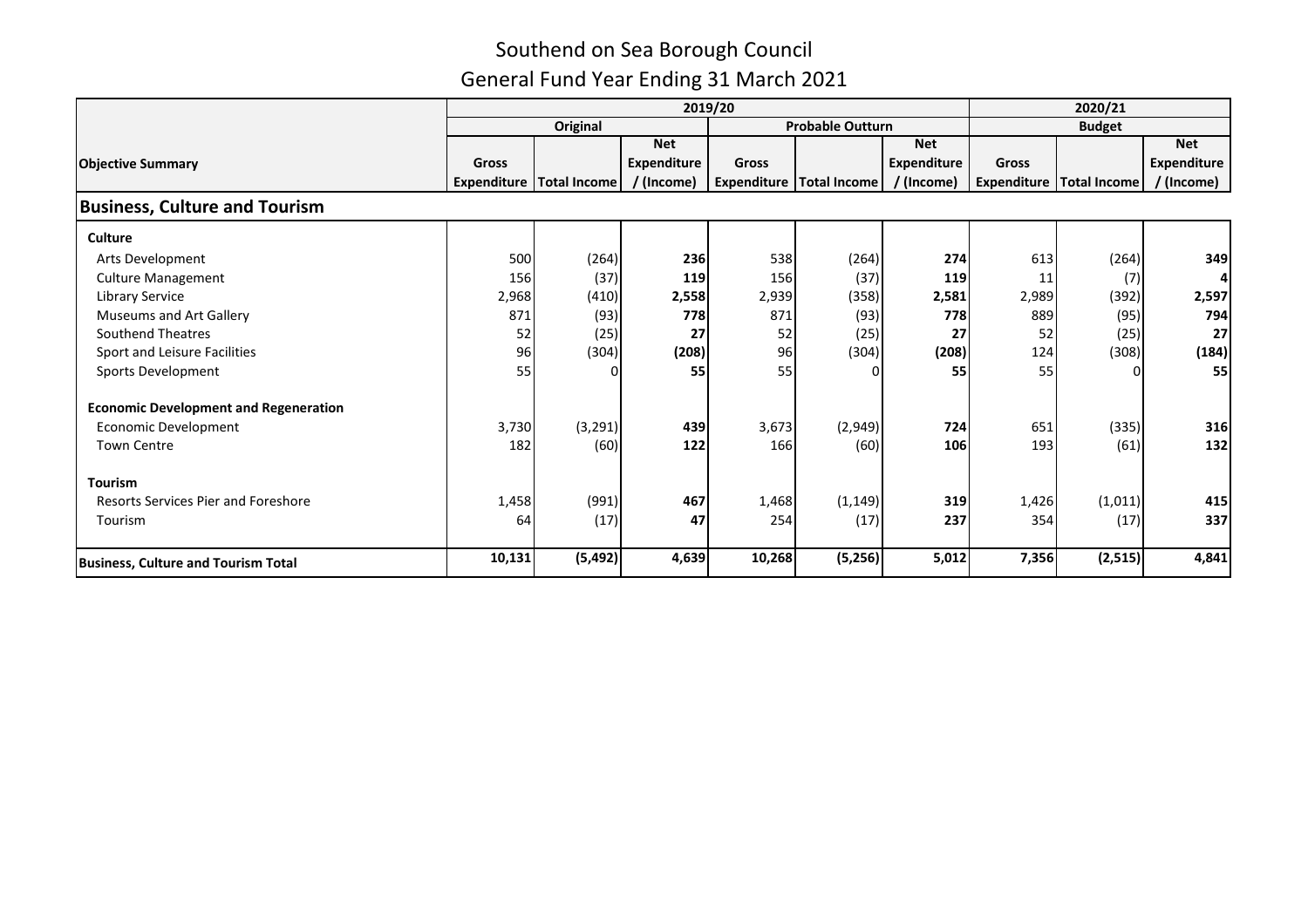|                                              |        |                                     | 2020/21     |                         |                            |             |               |                            |             |
|----------------------------------------------|--------|-------------------------------------|-------------|-------------------------|----------------------------|-------------|---------------|----------------------------|-------------|
|                                              |        | Original                            |             | <b>Probable Outturn</b> |                            |             | <b>Budget</b> |                            |             |
|                                              |        |                                     | <b>Net</b>  |                         |                            | <b>Net</b>  |               |                            | <b>Net</b>  |
| <b>Objective Summary</b>                     | Gross  |                                     | Expenditure | <b>Gross</b>            |                            | Expenditure | <b>Gross</b>  |                            | Expenditure |
|                                              |        | <b>Expenditure   Total Income  </b> | / (Income)  |                         | Expenditure   Total Income | / (Income)  |               | Expenditure   Total Income | / (Income)  |
| <b>Business, Culture and Tourism</b>         |        |                                     |             |                         |                            |             |               |                            |             |
| <b>Culture</b>                               |        |                                     |             |                         |                            |             |               |                            |             |
| Arts Development                             | 500    | (264)                               | 236         | 538                     | (264)                      | 274         | 613           | (264)                      | 349         |
| <b>Culture Management</b>                    | 156    | (37)                                | 119         | 156                     | (37)                       | 119         | 11            | (7)                        |             |
| <b>Library Service</b>                       | 2,968  | (410)                               | 2,558       | 2,939                   | (358)                      | 2,581       | 2,989         | (392)                      | 2,597       |
| <b>Museums and Art Gallery</b>               | 871    | (93)                                | 778         | 871                     | (93)                       | 778         | 889           | (95)                       | 794         |
| Southend Theatres                            | 52     | (25)                                | 27          | 52                      | (25)                       | 27          | 52            | (25)                       | 27          |
| Sport and Leisure Facilities                 | 96     | (304)                               | (208)       | 96                      | (304)                      | (208)       | 124           | (308)                      | (184)       |
| Sports Development                           | 55     |                                     | 55          | 55                      |                            | 55          | 55            | n                          | 55          |
| <b>Economic Development and Regeneration</b> |        |                                     |             |                         |                            |             |               |                            |             |
| Economic Development                         | 3,730  | (3, 291)                            | 439         | 3,673                   | (2,949)                    | 724         | 651           | (335)                      | 316         |
| <b>Town Centre</b>                           | 182    | (60)                                | 122         | 166                     | (60)                       | 106         | 193           | (61)                       | 132         |
| <b>Tourism</b>                               |        |                                     |             |                         |                            |             |               |                            |             |
| <b>Resorts Services Pier and Foreshore</b>   | 1,458  | (991)                               | 467         | 1,468                   | (1, 149)                   | 319         | 1,426         | (1, 011)                   | 415         |
| Tourism                                      | 64     | (17)                                | 47          | 254                     | (17)                       | 237         | 354           | (17)                       | 337         |
| <b>Business, Culture and Tourism Total</b>   | 10,131 | (5, 492)                            | 4,639       | 10,268                  | (5,256)                    | 5,012       | 7,356         | (2, 515)                   | 4,841       |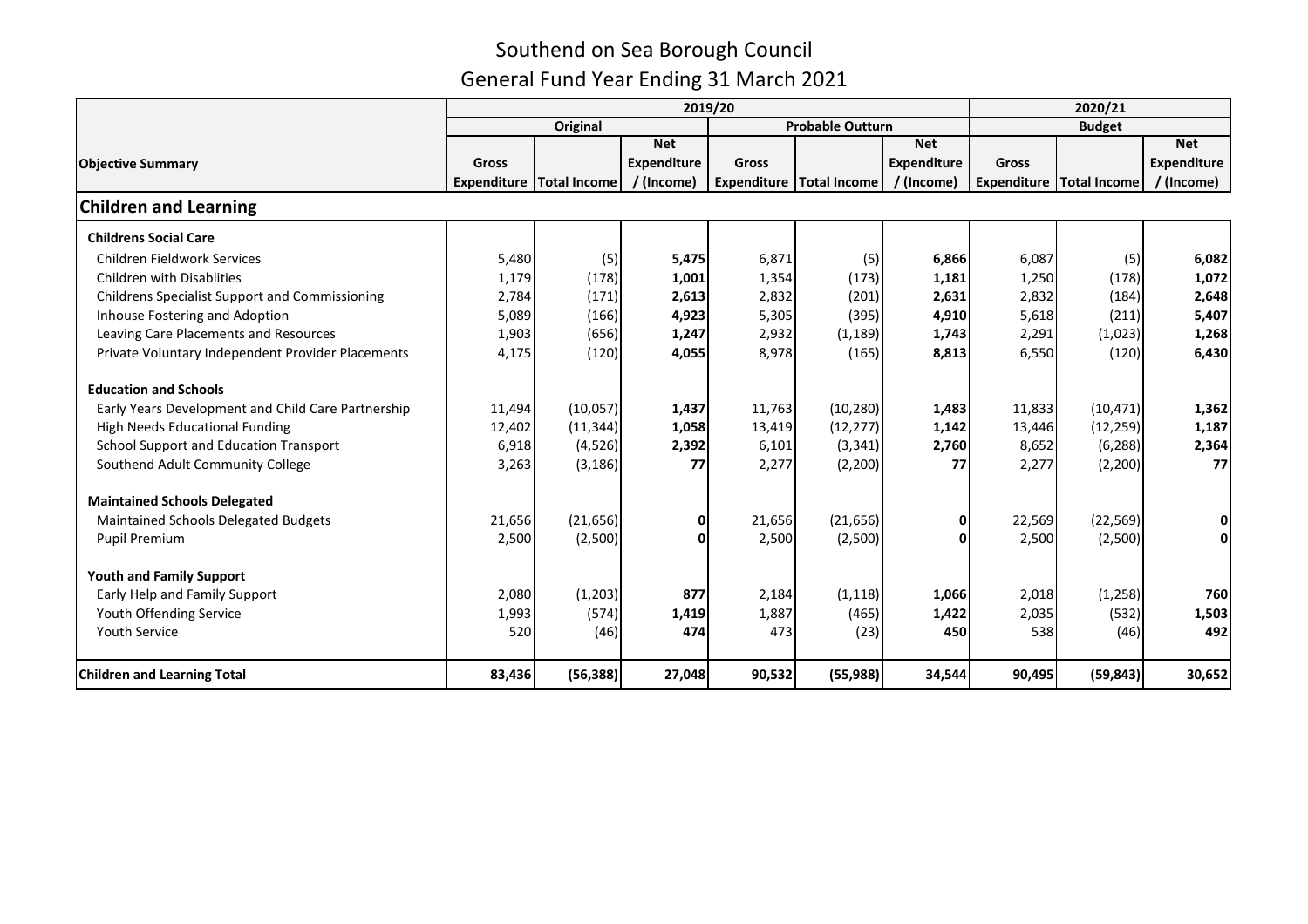|                                                       |        |                                     | 2020/21            |              |                                     |             |              |               |                    |
|-------------------------------------------------------|--------|-------------------------------------|--------------------|--------------|-------------------------------------|-------------|--------------|---------------|--------------------|
|                                                       |        | <b>Original</b>                     |                    |              | Probable Outturn                    |             |              | <b>Budget</b> |                    |
|                                                       |        |                                     | <b>Net</b>         |              |                                     | <b>Net</b>  |              |               | <b>Net</b>         |
| <b>Objective Summary</b>                              | Gross  |                                     | <b>Expenditure</b> | <b>Gross</b> |                                     | Expenditure | <b>Gross</b> |               | <b>Expenditure</b> |
|                                                       |        | <b>Expenditure   Total Income  </b> | / (Income)         |              | <b>Expenditure   Total Income  </b> | / (Income)  | Expenditure  | Total Income  | / (Income)         |
| <b>Children and Learning</b>                          |        |                                     |                    |              |                                     |             |              |               |                    |
| <b>Childrens Social Care</b>                          |        |                                     |                    |              |                                     |             |              |               |                    |
| Children Fieldwork Services                           | 5,480  | (5)                                 | 5,475              | 6,871        | (5)                                 | 6,866       | 6,087        | (5)           | 6,082              |
| <b>Children with Disablities</b>                      | 1,179  | (178)                               | 1,001              | 1,354        | (173)                               | 1,181       | 1,250        | (178)         | 1,072              |
| <b>Childrens Specialist Support and Commissioning</b> | 2,784  | (171)                               | 2,613              | 2,832        | (201)                               | 2,631       | 2,832        | (184)         | 2,648              |
| Inhouse Fostering and Adoption                        | 5,089  | (166)                               | 4,923              | 5,305        | (395)                               | 4,910       | 5,618        | (211)         | 5,407              |
| Leaving Care Placements and Resources                 | 1,903  | (656)                               | 1,247              | 2,932        | (1, 189)                            | 1,743       | 2,291        | (1,023)       | 1,268              |
| Private Voluntary Independent Provider Placements     | 4,175  | (120)                               | 4,055              | 8,978        | (165)                               | 8,813       | 6,550        | (120)         | 6,430              |
| <b>Education and Schools</b>                          |        |                                     |                    |              |                                     |             |              |               |                    |
| Early Years Development and Child Care Partnership    | 11,494 | (10,057)                            | 1,437              | 11,763       | (10, 280)                           | 1,483       | 11,833       | (10, 471)     | 1,362              |
| High Needs Educational Funding                        | 12,402 | (11, 344)                           | 1,058              | 13,419       | (12, 277)                           | 1,142       | 13,446       | (12, 259)     | 1,187              |
| School Support and Education Transport                | 6,918  | (4,526)                             | 2,392              | 6,101        | (3, 341)                            | 2,760       | 8,652        | (6, 288)      | 2,364              |
| Southend Adult Community College                      | 3,263  | (3, 186)                            | 77                 | 2,277        | (2,200)                             | 77          | 2,277        | (2,200)       | 77                 |
| <b>Maintained Schools Delegated</b>                   |        |                                     |                    |              |                                     |             |              |               |                    |
| Maintained Schools Delegated Budgets                  | 21,656 | (21, 656)                           | 0                  | 21,656       | (21, 656)                           | 0           | 22,569       | (22, 569)     | 0                  |
| <b>Pupil Premium</b>                                  | 2,500  | (2,500)                             | $\mathbf{0}$       | 2,500        | (2,500)                             | n           | 2,500        | (2,500)       | Οl                 |
| <b>Youth and Family Support</b>                       |        |                                     |                    |              |                                     |             |              |               |                    |
| Early Help and Family Support                         | 2,080  | (1, 203)                            | 877                | 2,184        | (1, 118)                            | 1,066       | 2,018        | (1,258)       | 760                |
| Youth Offending Service                               | 1,993  | (574)                               | 1,419              | 1,887        | (465)                               | 1,422       | 2,035        | (532)         | 1,503              |
| <b>Youth Service</b>                                  | 520    | (46)                                | 474                | 473          | (23)                                | 450         | 538          | (46)          | 492                |
| <b>Children and Learning Total</b>                    | 83,436 | (56, 388)                           | 27,048             | 90,532       | (55, 988)                           | 34,544      | 90,495       | (59, 843)     | 30,652             |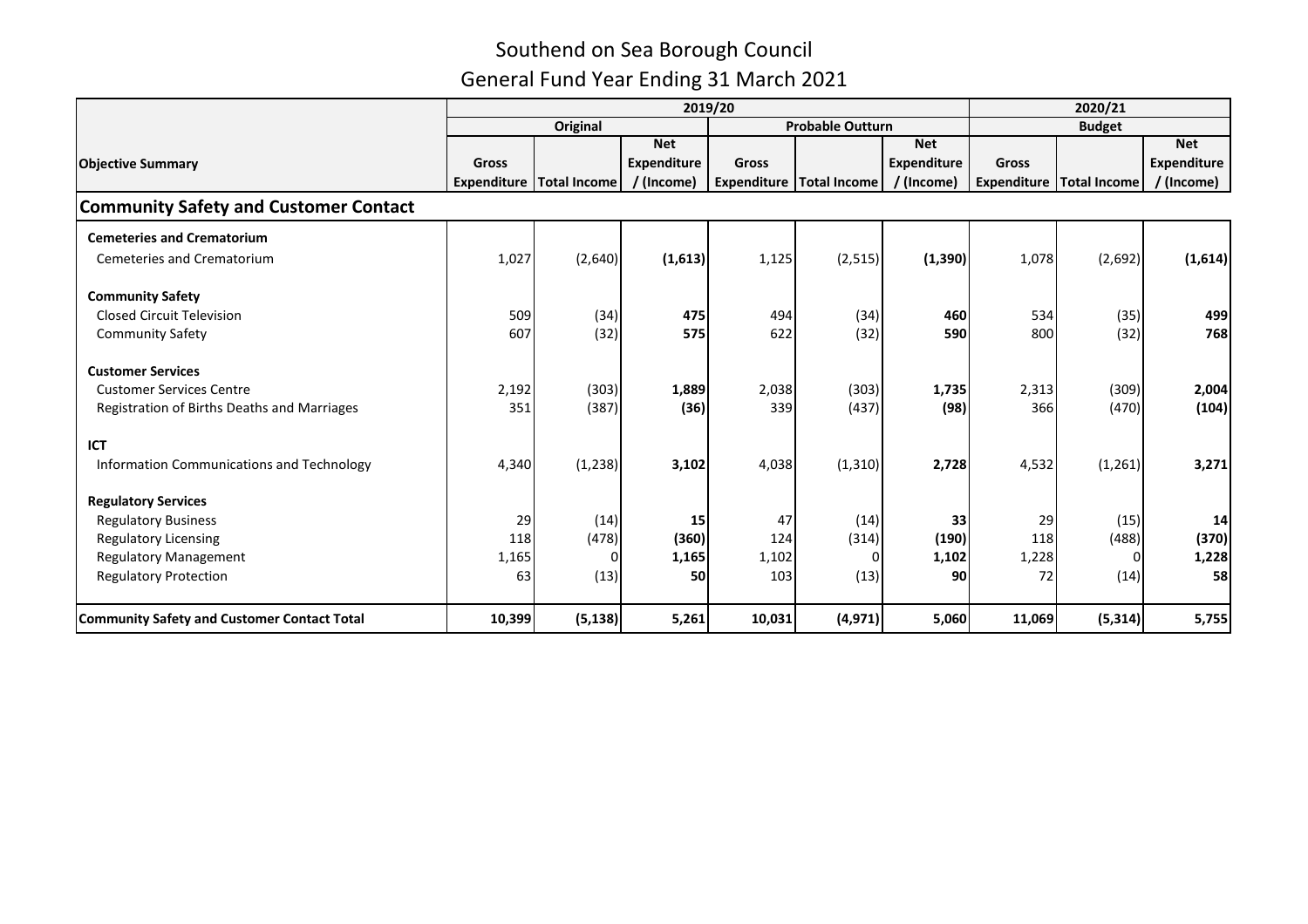|                                                    |        |                                     | 2020/21            |        |                                     |             |        |                                     |                    |
|----------------------------------------------------|--------|-------------------------------------|--------------------|--------|-------------------------------------|-------------|--------|-------------------------------------|--------------------|
|                                                    |        | <b>Original</b>                     |                    |        | <b>Probable Outturn</b>             |             |        | <b>Budget</b>                       |                    |
|                                                    |        |                                     | <b>Net</b>         |        |                                     | <b>Net</b>  |        |                                     | <b>Net</b>         |
| <b>Objective Summary</b>                           | Gross  |                                     | <b>Expenditure</b> | Gross  |                                     | Expenditure | Gross  |                                     | <b>Expenditure</b> |
|                                                    |        | <b>Expenditure   Total Income  </b> | / (Income)         |        | <b>Expenditure   Total Income  </b> | / (Income)  |        | <b>Expenditure   Total Income  </b> | / (Income)         |
| <b>Community Safety and Customer Contact</b>       |        |                                     |                    |        |                                     |             |        |                                     |                    |
| <b>Cemeteries and Crematorium</b>                  |        |                                     |                    |        |                                     |             |        |                                     |                    |
| <b>Cemeteries and Crematorium</b>                  | 1,027  | (2,640)                             | (1,613)            | 1,125  | (2, 515)                            | (1, 390)    | 1,078  | (2,692)                             | (1,614)            |
| <b>Community Safety</b>                            |        |                                     |                    |        |                                     |             |        |                                     |                    |
| <b>Closed Circuit Television</b>                   | 509    | (34)                                | 475                | 494    | (34)                                | 460         | 534    | (35)                                | 499                |
| <b>Community Safety</b>                            | 607    | (32)                                | 575                | 622    | (32)                                | <b>590</b>  | 800    | (32)                                | 768                |
| <b>Customer Services</b>                           |        |                                     |                    |        |                                     |             |        |                                     |                    |
| <b>Customer Services Centre</b>                    | 2,192  | (303)                               | 1,889              | 2,038  | (303)                               | 1,735       | 2,313  | (309)                               | 2,004              |
| Registration of Births Deaths and Marriages        | 351    | (387)                               | (36)               | 339    | (437)                               | (98)        | 366    | (470)                               | (104)              |
| ICT                                                |        |                                     |                    |        |                                     |             |        |                                     |                    |
| Information Communications and Technology          | 4,340  | (1, 238)                            | 3,102              | 4,038  | (1, 310)                            | 2,728       | 4,532  | (1, 261)                            | 3,271              |
| <b>Regulatory Services</b>                         |        |                                     |                    |        |                                     |             |        |                                     |                    |
| <b>Regulatory Business</b>                         | 29     | (14)                                | 15                 | 47     | (14)                                | 33          | 29     | (15)                                | 14                 |
| <b>Regulatory Licensing</b>                        | 118    | (478)                               | (360)              | 124    | (314)                               | (190)       | 118    | (488)                               | (370)              |
| <b>Regulatory Management</b>                       | 1,165  |                                     | 1,165              | 1,102  | O                                   | 1,102       | 1,228  | $\Omega$                            | 1,228              |
| <b>Regulatory Protection</b>                       | 63     | (13)                                | 50                 | 103    | (13)                                | 90          | 72     | (14)                                | 58                 |
| <b>Community Safety and Customer Contact Total</b> | 10,399 | (5, 138)                            | 5,261              | 10,031 | (4, 971)                            | 5,060       | 11,069 | (5, 314)                            | 5,755              |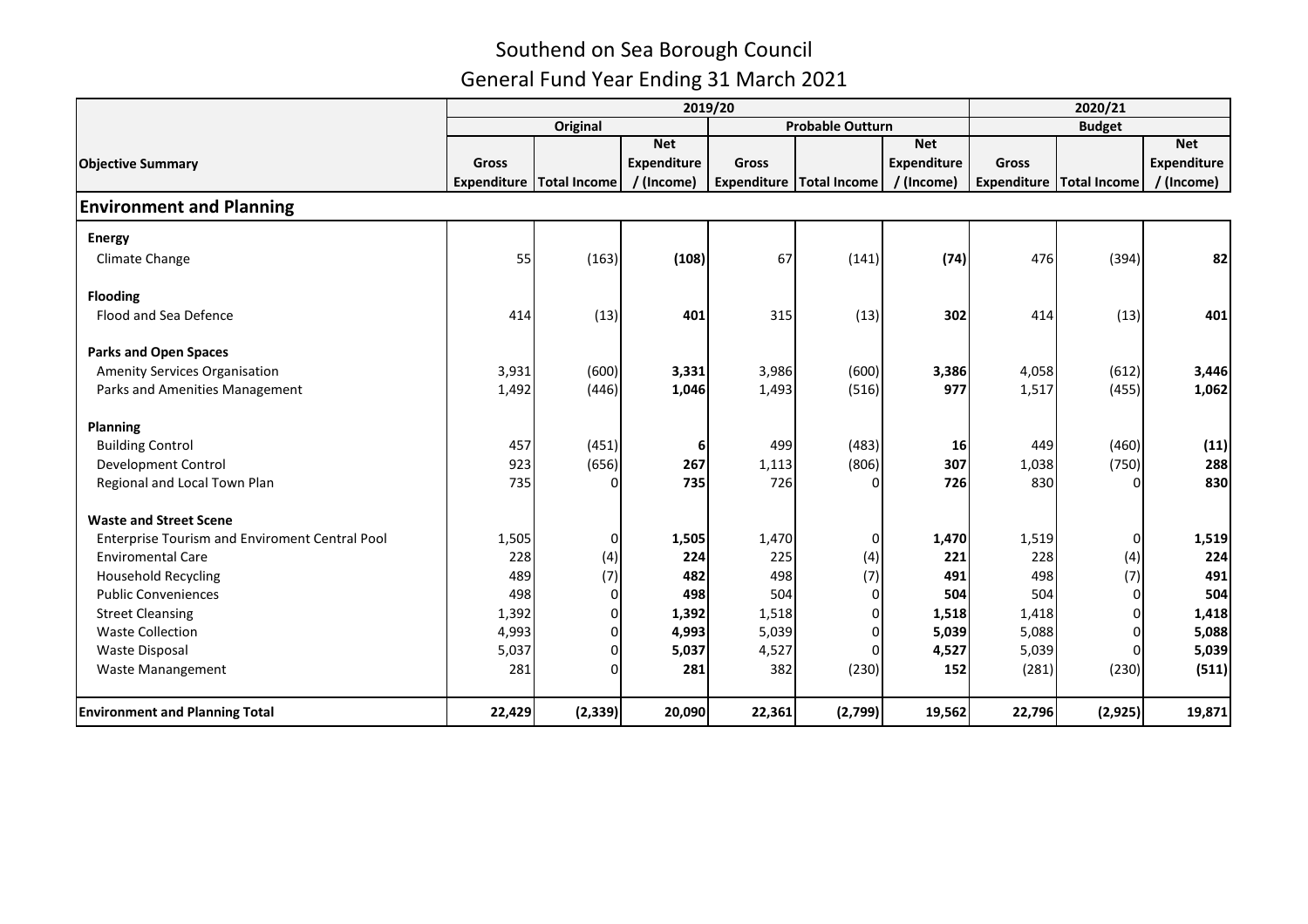|                                                       |                    |                     | 2020/21            |                    |                         |             |               |                     |                    |  |
|-------------------------------------------------------|--------------------|---------------------|--------------------|--------------------|-------------------------|-------------|---------------|---------------------|--------------------|--|
|                                                       |                    | <b>Original</b>     |                    |                    | <b>Probable Outturn</b> |             | <b>Budget</b> |                     |                    |  |
|                                                       |                    |                     | <b>Net</b>         |                    |                         | <b>Net</b>  |               |                     | <b>Net</b>         |  |
| <b>Objective Summary</b>                              | <b>Gross</b>       |                     | <b>Expenditure</b> | <b>Gross</b>       |                         | Expenditure | <b>Gross</b>  |                     | <b>Expenditure</b> |  |
|                                                       | <b>Expenditure</b> | <b>Total Income</b> | / (Income)         | <b>Expenditure</b> | <b>Total Income</b>     | / (Income)  | Expenditure   | <b>Total Income</b> | / (Income)         |  |
| <b>Environment and Planning</b>                       |                    |                     |                    |                    |                         |             |               |                     |                    |  |
| <b>Energy</b>                                         |                    |                     |                    |                    |                         |             |               |                     |                    |  |
| Climate Change                                        | 55                 | (163)               | (108)              | 67                 | (141)                   | (74)        | 476           | (394)               | 82                 |  |
| <b>Flooding</b>                                       |                    |                     |                    |                    |                         |             |               |                     |                    |  |
| Flood and Sea Defence                                 | 414                | (13)                | 401                | 315                | (13)                    | 302         | 414           | (13)                | 401                |  |
| <b>Parks and Open Spaces</b>                          |                    |                     |                    |                    |                         |             |               |                     |                    |  |
| <b>Amenity Services Organisation</b>                  | 3,931              | (600)               | 3,331              | 3,986              | (600)                   | 3,386       | 4,058         | (612)               | 3,446              |  |
| Parks and Amenities Management                        | 1,492              | (446)               | 1,046              | 1,493              | (516)                   | 977         | 1,517         | (455)               | 1,062              |  |
| <b>Planning</b>                                       |                    |                     |                    |                    |                         |             |               |                     |                    |  |
| <b>Building Control</b>                               | 457                | (451)               | 6                  | 499                | (483)                   | 16          | 449           | (460)               | (11)               |  |
| Development Control                                   | 923                | (656)               | 267                | 1,113              | (806)                   | 307         | 1,038         | (750)               | 288                |  |
| Regional and Local Town Plan                          | 735                | 0                   | 735                | 726                |                         | 726         | 830           | $\Omega$            | 830                |  |
| <b>Waste and Street Scene</b>                         |                    |                     |                    |                    |                         |             |               |                     |                    |  |
| <b>Enterprise Tourism and Enviroment Central Pool</b> | 1,505              | $\Omega$            | 1,505              | 1,470              | $\Omega$                | 1,470       | 1,519         | $\overline{0}$      | 1,519              |  |
| <b>Enviromental Care</b>                              | 228                | (4)                 | 224                | 225                | (4)                     | 221         | 228           | (4)                 | 224                |  |
| <b>Household Recycling</b>                            | 489                | (7)                 | 482                | 498                | (7)                     | 491         | 498           | (7)                 | 491                |  |
| <b>Public Conveniences</b>                            | 498                | $\Omega$            | 498                | 504                |                         | 504         | 504           | $\Omega$            | 504                |  |
| <b>Street Cleansing</b>                               | 1,392              | 0                   | 1,392              | 1,518              |                         | 1,518       | 1,418         | $\Omega$            | 1,418              |  |
| <b>Waste Collection</b>                               | 4,993              | 0                   | 4,993              | 5,039              |                         | 5,039       | 5,088         |                     | 5,088              |  |
| <b>Waste Disposal</b>                                 | 5,037              | $\Omega$            | 5,037              | 4,527              | 0                       | 4,527       | 5,039         | $\Omega$            | 5,039              |  |
| Waste Manangement                                     | 281                | $\Omega$            | 281                | 382                | (230)                   | 152         | (281)         | (230)               | (511)              |  |
| <b>Environment and Planning Total</b>                 | 22,429             | (2, 339)            | 20,090             | 22,361             | (2,799)                 | 19,562      | 22,796        | (2,925)             | 19,871             |  |